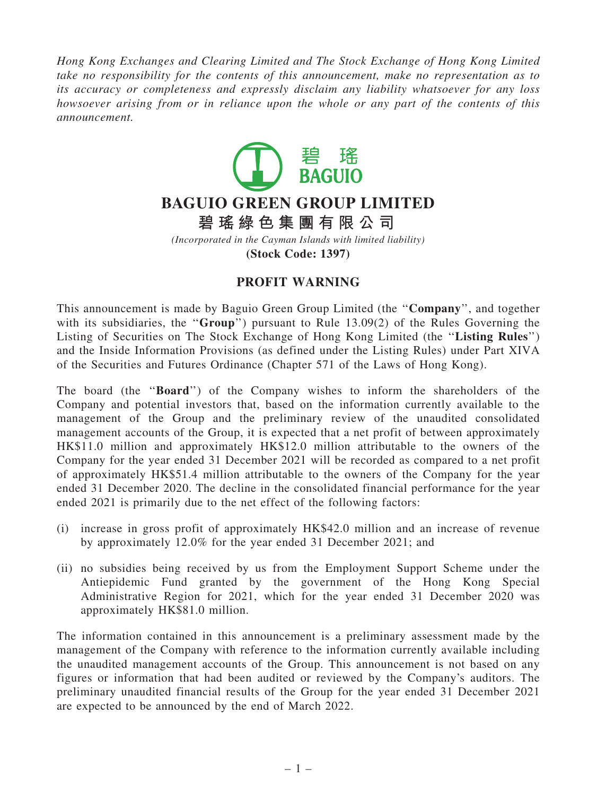Hong Kong Exchanges and Clearing Limited and The Stock Exchange of Hong Kong Limited take no responsibility for the contents of this announcement, make no representation as to its accuracy or completeness and expressly disclaim any liability whatsoever for any loss howsoever arising from or in reliance upon the whole or any part of the contents of this announcement.



## **BAGUIO GREEN GROUP LIMITED**

**碧 瑤 綠 色 集 團 有 限 公 司**

*(Incorporated in the Cayman Islands with limited liability)* **(Stock Code: 1397)**

## PROFIT WARNING

This announcement is made by Baguio Green Group Limited (the ''Company'', and together with its subsidiaries, the "Group") pursuant to Rule 13.09(2) of the Rules Governing the Listing of Securities on The Stock Exchange of Hong Kong Limited (the "Listing Rules") and the Inside Information Provisions (as defined under the Listing Rules) under Part XIVA of the Securities and Futures Ordinance (Chapter 571 of the Laws of Hong Kong).

The board (the "Board") of the Company wishes to inform the shareholders of the Company and potential investors that, based on the information currently available to the management of the Group and the preliminary review of the unaudited consolidated management accounts of the Group, it is expected that a net profit of between approximately HK\$11.0 million and approximately HK\$12.0 million attributable to the owners of the Company for the year ended 31 December 2021 will be recorded as compared to a net profit of approximately HK\$51.4 million attributable to the owners of the Company for the year ended 31 December 2020. The decline in the consolidated financial performance for the year ended 2021 is primarily due to the net effect of the following factors:

- (i) increase in gross profit of approximately HK\$42.0 million and an increase of revenue by approximately 12.0% for the year ended 31 December 2021; and
- (ii) no subsidies being received by us from the Employment Support Scheme under the Antiepidemic Fund granted by the government of the Hong Kong Special Administrative Region for 2021, which for the year ended 31 December 2020 was approximately HK\$81.0 million.

The information contained in this announcement is a preliminary assessment made by the management of the Company with reference to the information currently available including the unaudited management accounts of the Group. This announcement is not based on any figures or information that had been audited or reviewed by the Company's auditors. The preliminary unaudited financial results of the Group for the year ended 31 December 2021 are expected to be announced by the end of March 2022.